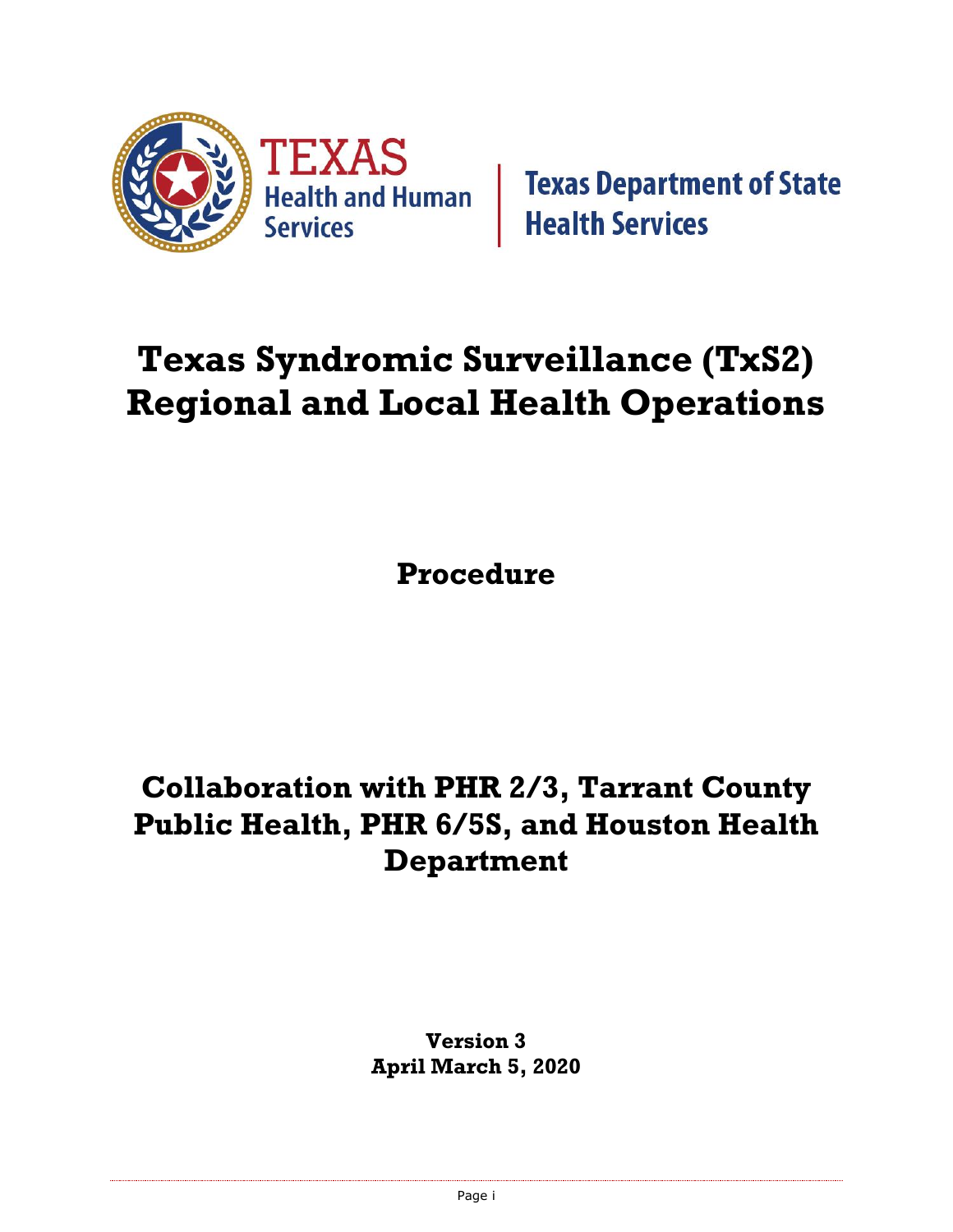

**Texas Department of State Health Services** 

# **Texas Syndromic Surveillance (TxS2) Regional and Local Health Operations**

**Procedure**

# **Collaboration with PHR 2/3, Tarrant County Public Health, PHR 6/5S, and Houston Health Department**

**Version 3 April March 5, 2020**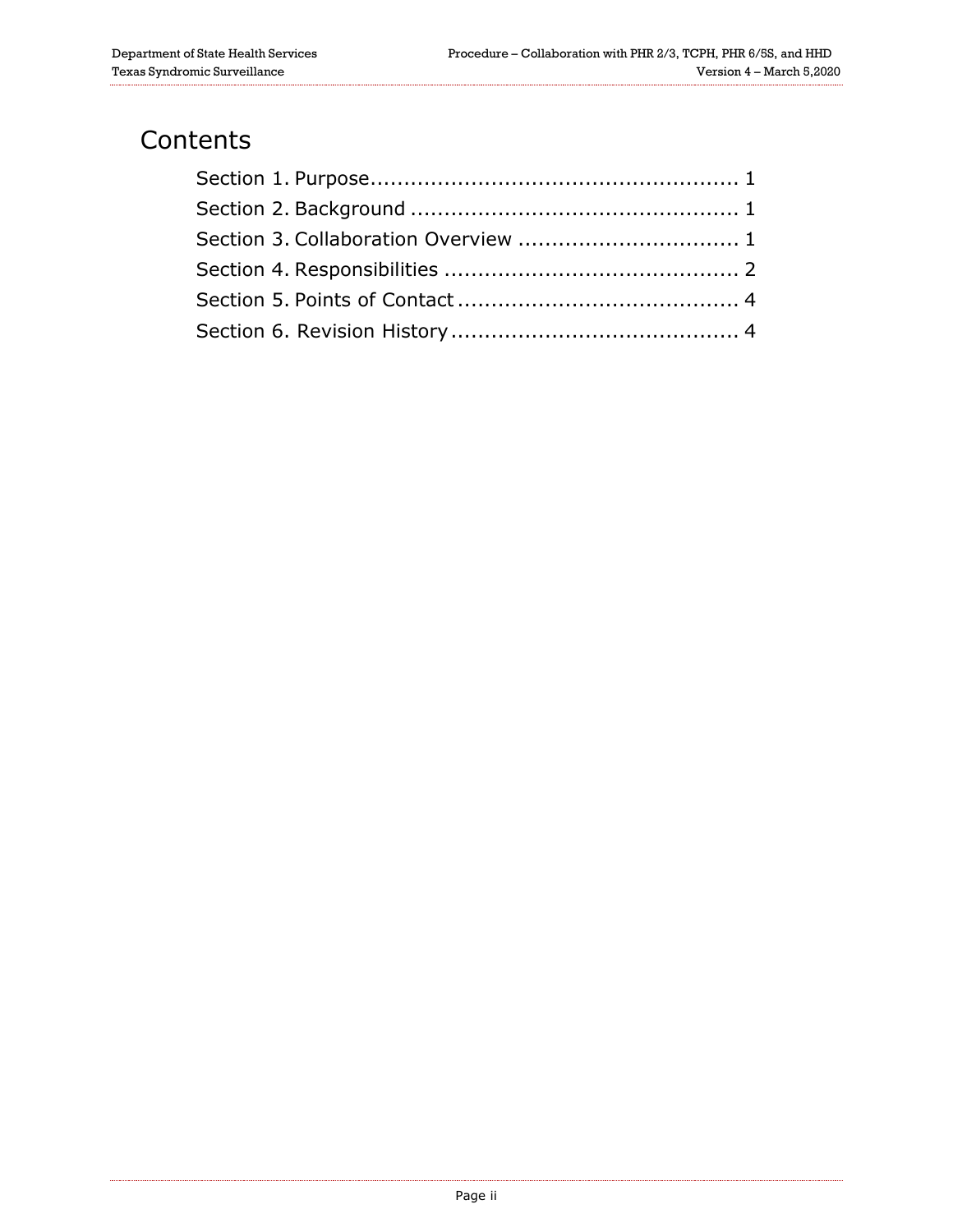#### **Contents**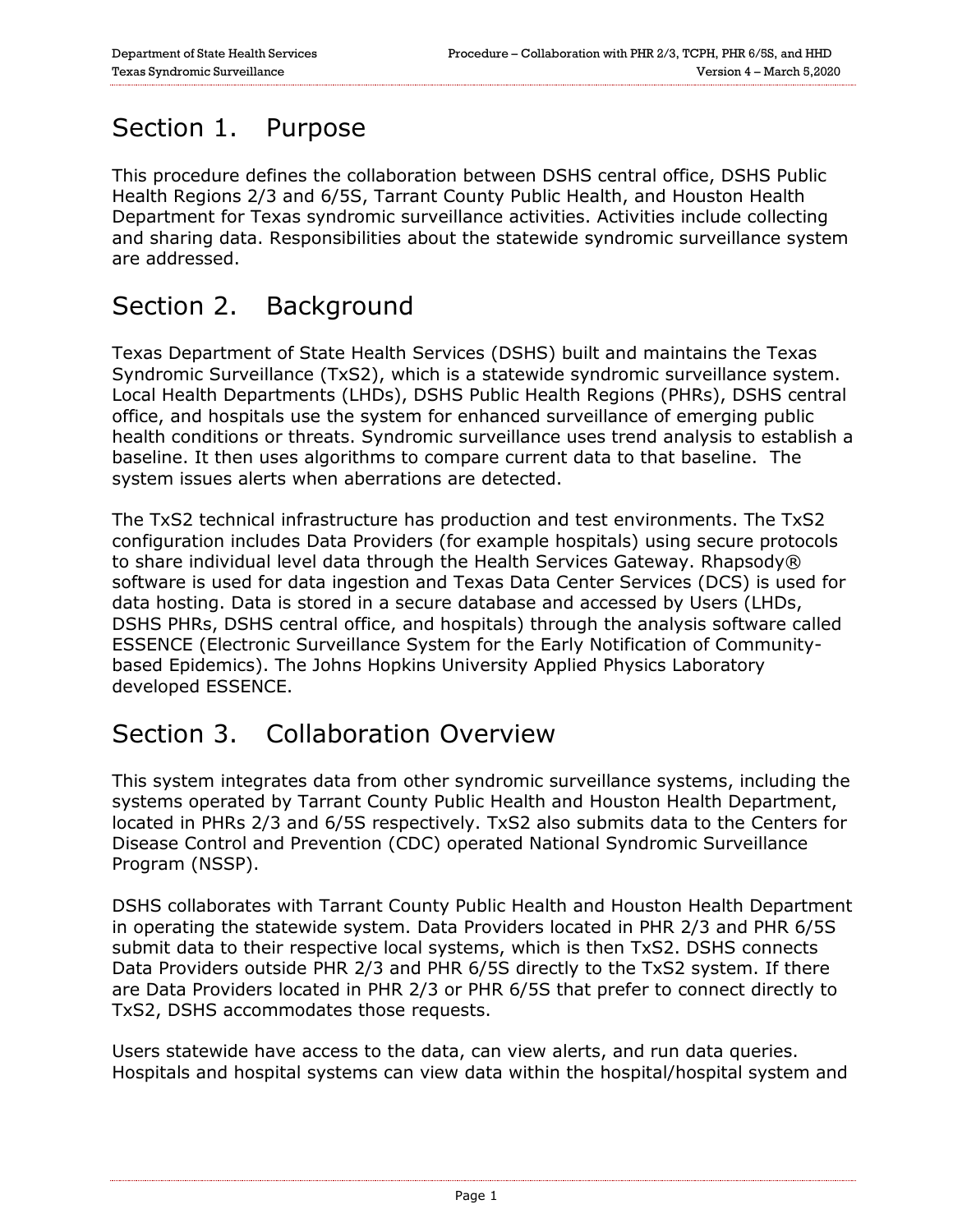### <span id="page-2-0"></span>Section 1. Purpose

This procedure defines the collaboration between DSHS central office, DSHS Public Health Regions 2/3 and 6/5S, Tarrant County Public Health, and Houston Health Department for Texas syndromic surveillance activities. Activities include collecting and sharing data. Responsibilities about the statewide syndromic surveillance system are addressed.

#### <span id="page-2-1"></span>Section 2. Background

Texas Department of State Health Services (DSHS) built and maintains the Texas Syndromic Surveillance (TxS2), which is a statewide syndromic surveillance system. Local Health Departments (LHDs), DSHS Public Health Regions (PHRs), DSHS central office, and hospitals use the system for enhanced surveillance of emerging public health conditions or threats. Syndromic surveillance uses trend analysis to establish a baseline. It then uses algorithms to compare current data to that baseline. The system issues alerts when aberrations are detected.

The TxS2 technical infrastructure has production and test environments. The TxS2 configuration includes Data Providers (for example hospitals) using secure protocols to share individual level data through the Health Services Gateway. Rhapsody® software is used for data ingestion and Texas Data Center Services (DCS) is used for data hosting. Data is stored in a secure database and accessed by Users (LHDs, DSHS PHRs, DSHS central office, and hospitals) through the analysis software called ESSENCE (Electronic Surveillance System for the Early Notification of Communitybased Epidemics). The Johns Hopkins University Applied Physics Laboratory developed ESSENCE.

#### <span id="page-2-2"></span>Section 3. Collaboration Overview

This system integrates data from other syndromic surveillance systems, including the systems operated by Tarrant County Public Health and Houston Health Department, located in PHRs 2/3 and 6/5S respectively. TxS2 also submits data to the Centers for Disease Control and Prevention (CDC) operated National Syndromic Surveillance Program (NSSP).

DSHS collaborates with Tarrant County Public Health and Houston Health Department in operating the statewide system. Data Providers located in PHR 2/3 and PHR 6/5S submit data to their respective local systems, which is then TxS2. DSHS connects Data Providers outside PHR 2/3 and PHR 6/5S directly to the TxS2 system. If there are Data Providers located in PHR 2/3 or PHR 6/5S that prefer to connect directly to TxS2, DSHS accommodates those requests.

Users statewide have access to the data, can view alerts, and run data queries. Hospitals and hospital systems can view data within the hospital/hospital system and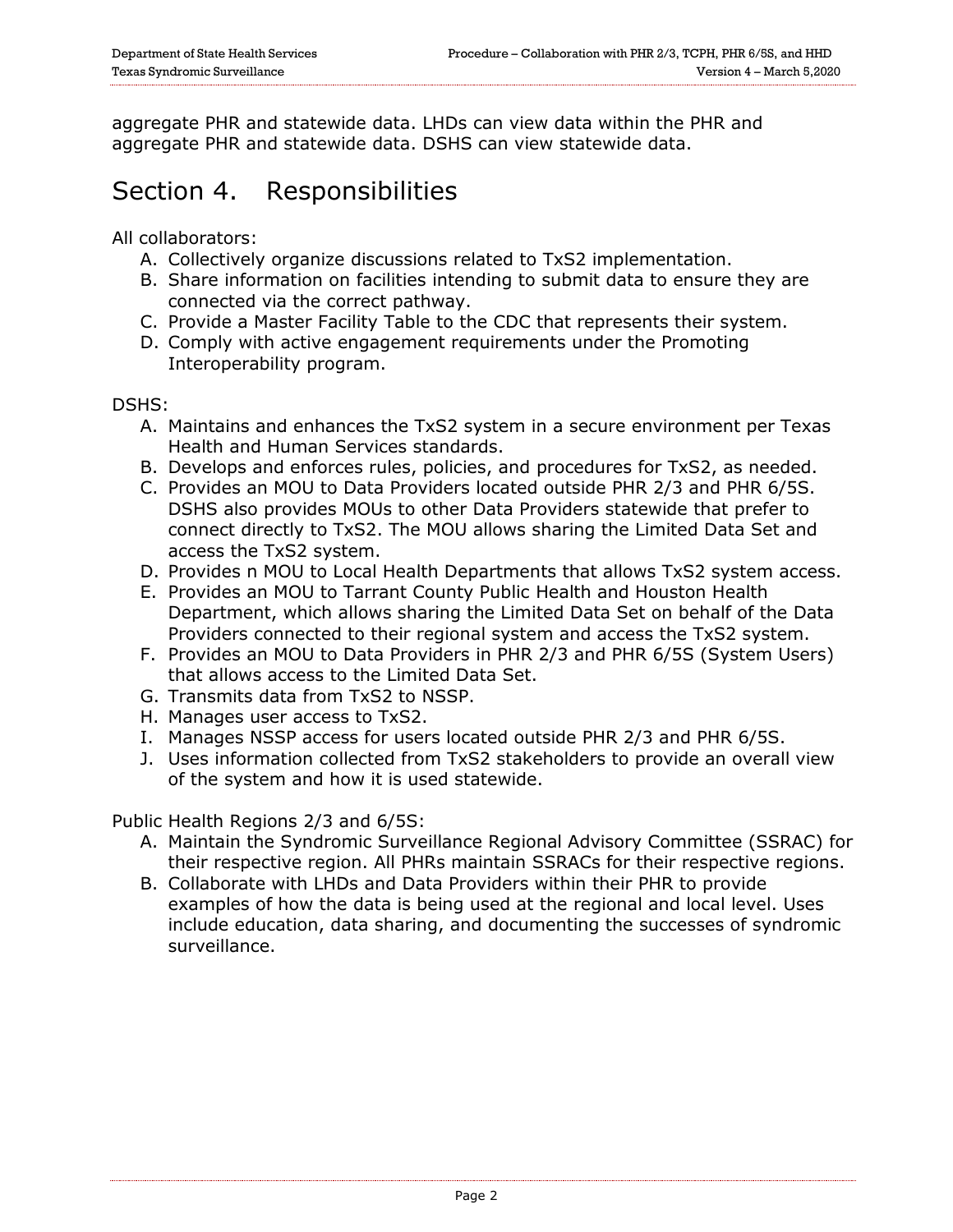aggregate PHR and statewide data. LHDs can view data within the PHR and aggregate PHR and statewide data. DSHS can view statewide data.

#### <span id="page-3-0"></span>Section 4. Responsibilities

All collaborators:

- A. Collectively organize discussions related to TxS2 implementation.
- B. Share information on facilities intending to submit data to ensure they are connected via the correct pathway.
- C. Provide a Master Facility Table to the CDC that represents their system.
- D. Comply with active engagement requirements under the Promoting Interoperability program.

DSHS:

- A. Maintains and enhances the TxS2 system in a secure environment per Texas Health and Human Services standards.
- B. Develops and enforces rules, policies, and procedures for TxS2, as needed.
- C. Provides an MOU to Data Providers located outside PHR 2/3 and PHR 6/5S. DSHS also provides MOUs to other Data Providers statewide that prefer to connect directly to TxS2. The MOU allows sharing the Limited Data Set and access the TxS2 system.
- D. Provides n MOU to Local Health Departments that allows TxS2 system access.
- E. Provides an MOU to Tarrant County Public Health and Houston Health Department, which allows sharing the Limited Data Set on behalf of the Data Providers connected to their regional system and access the TxS2 system.
- F. Provides an MOU to Data Providers in PHR 2/3 and PHR 6/5S (System Users) that allows access to the Limited Data Set.
- G. Transmits data from TxS2 to NSSP.
- H. Manages user access to TxS2.
- I. Manages NSSP access for users located outside PHR 2/3 and PHR 6/5S.
- J. Uses information collected from TxS2 stakeholders to provide an overall view of the system and how it is used statewide.

Public Health Regions 2/3 and 6/5S:

- A. Maintain the Syndromic Surveillance Regional Advisory Committee (SSRAC) for their respective region. All PHRs maintain SSRACs for their respective regions.
- B. Collaborate with LHDs and Data Providers within their PHR to provide examples of how the data is being used at the regional and local level. Uses include education, data sharing, and documenting the successes of syndromic surveillance.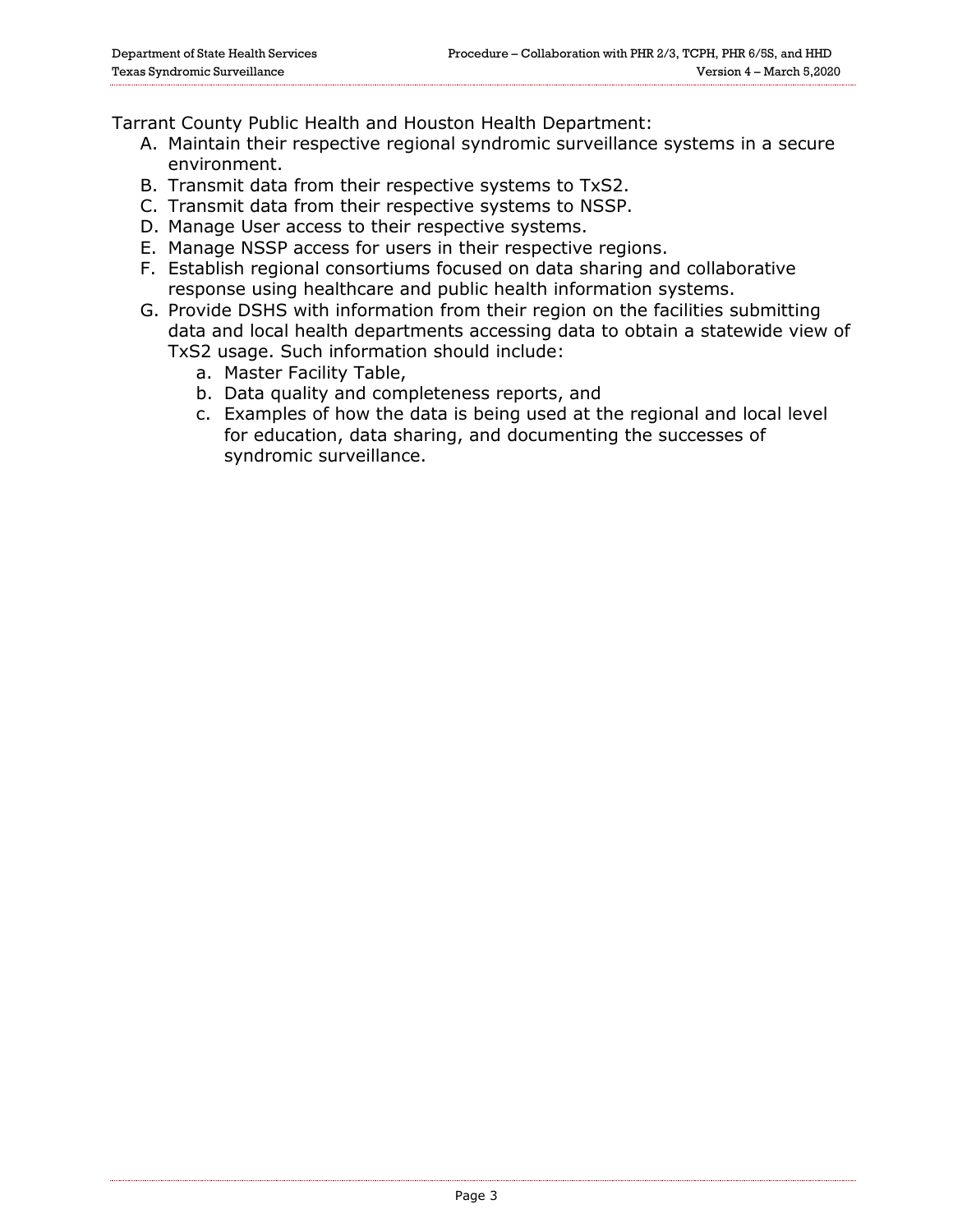Tarrant County Public Health and Houston Health Department:

- A. Maintain their respective regional syndromic surveillance systems in a secure environment.
- B. Transmit data from their respective systems to TxS2.
- C. Transmit data from their respective systems to NSSP.
- D. Manage User access to their respective systems.
- E. Manage NSSP access for users in their respective regions.
- F. Establish regional consortiums focused on data sharing and collaborative response using healthcare and public health information systems.
- G. Provide DSHS with information from their region on the facilities submitting data and local health departments accessing data to obtain a statewide view of TxS2 usage. Such information should include:
	- a. Master Facility Table,
	- b. Data quality and completeness reports, and
	- c. Examples of how the data is being used at the regional and local level for education, data sharing, and documenting the successes of syndromic surveillance.